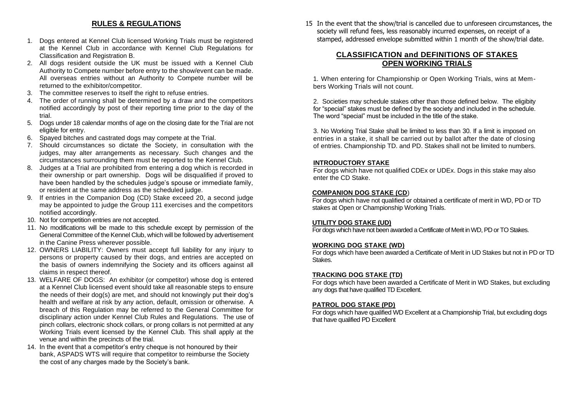# **RULES & REGULATIONS**

- 1. Dogs entered at Kennel Club licensed Working Trials must be registered at the Kennel Club in accordance with Kennel Club Regulations for Classification and Registration B.
- 2. All dogs resident outside the UK must be issued with a Kennel Club Authority to Compete number before entry to the show/event can be made. All overseas entries without an Authority to Compete number will be returned to the exhibitor/competitor.
- 3. The committee reserves to itself the right to refuse entries.
- 4. The order of running shall be determined by a draw and the competitors notified accordingly by post of their reporting time prior to the day of the trial.
- 5. Dogs under 18 calendar months of age on the closing date for the Trial are not eligible for entry.
- 6. Spayed bitches and castrated dogs may compete at the Trial.
- 7. Should circumstances so dictate the Society, in consultation with the judges, may alter arrangements as necessary. Such changes and the circumstances surrounding them must be reported to the Kennel Club.
- 8. Judges at a Trial are prohibited from entering a dog which is recorded in their ownership or part ownership. Dogs will be disqualified if proved to have been handled by the schedules judge's spouse or immediate family, or resident at the same address as the scheduled judge.
- 9. If entries in the Companion Dog (CD) Stake exceed 20, a second judge may be appointed to judge the Group 111 exercises and the competitors notified accordingly.
- 10. Not for competition entries are not accepted.
- 11. No modifications will be made to this schedule except by permission of the General Committee of the Kennel Club, which will be followed by advertisement in the Canine Press wherever possible.
- 12. OWNERS LIABILITY: Owners must accept full liability for any injury to persons or property caused by their dogs, and entries are accepted on the basis of owners indemnifying the Society and its officers against all claims in respect thereof.
- 13. WELFARE OF DOGS: An exhibitor (or competitor) whose dog is entered at a Kennel Club licensed event should take all reasonable steps to ensure the needs of their dog(s) are met, and should not knowingly put their dog's health and welfare at risk by any action, default, omission or otherwise. A breach of this Regulation may be referred to the General Committee for disciplinary action under Kennel Club Rules and Regulations. The use of pinch collars, electronic shock collars, or prong collars is not permitted at any Working Trials event licensed by the Kennel Club. This shall apply at the venue and within the precincts of the trial.
- 14. In the event that a competitor's entry cheque is not honoured by their bank, ASPADS WTS will require that competitor to reimburse the Society the cost of any charges made by the Society's bank.

15 In the event that the show/trial is cancelled due to unforeseen circumstances, the society will refund fees, less reasonably incurred expenses, on receipt of a stamped, addressed envelope submitted within 1 month of the show/trial date.

### **CLASSIFICATION and DEFINITIONS OF STAKES OPEN WORKING TRIALS**

1. When entering for Championship or Open Working Trials, wins at Members Working Trials will not count.

2. Societies may schedule stakes other than those defined below. The eligibity for "special" stakes must be defined by the society and included in the schedule. The word "special" must be included in the title of the stake.

3. No Working Trial Stake shall be limited to less than 30. If a limit is imposed on entries in a stake, it shall be carried out by ballot after the date of closing of entries. Championship TD. and PD. Stakes shall not be limited to numbers.

### **INTRODUCTORY STAKE**

For dogs which have not qualified CDEx or UDEx. Dogs in this stake may also enter the CD Stake.

#### **COMPANION DOG STAKE (CD**)

For dogs which have not qualified or obtained a certificate of merit in WD, PD or TD stakes at Open or Championship Working Trials.

### **UTILITY DOG STAKE (UD)**

For dogs which have not been awarded a Certificate of Merit in WD, PD or TO Stakes.

#### **WORKING DOG STAKE (WD)**

For dogs which have been awarded a Certificate of Merit in UD Stakes but not in PD or TD Stakes.

#### **TRACKING DOG STAKE (TD)**

For dogs which have been awarded a Certificate of Merit in WD Stakes, but excluding any dogs that have qualified TD Excellent.

#### **PATROL DOG STAKE (PD)**

For dogs which have qualified WD Excellent at a Championship Trial, but excluding dogs that have qualified PD Excellent